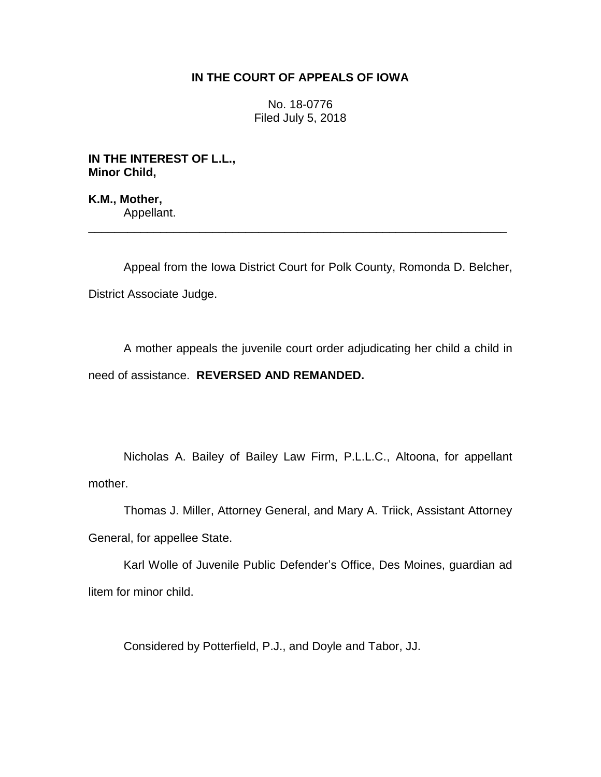# **IN THE COURT OF APPEALS OF IOWA**

No. 18-0776 Filed July 5, 2018

**IN THE INTEREST OF L.L., Minor Child,**

**K.M., Mother,** Appellant.

Appeal from the Iowa District Court for Polk County, Romonda D. Belcher, District Associate Judge.

\_\_\_\_\_\_\_\_\_\_\_\_\_\_\_\_\_\_\_\_\_\_\_\_\_\_\_\_\_\_\_\_\_\_\_\_\_\_\_\_\_\_\_\_\_\_\_\_\_\_\_\_\_\_\_\_\_\_\_\_\_\_\_\_

A mother appeals the juvenile court order adjudicating her child a child in need of assistance. **REVERSED AND REMANDED.** 

Nicholas A. Bailey of Bailey Law Firm, P.L.L.C., Altoona, for appellant mother.

Thomas J. Miller, Attorney General, and Mary A. Triick, Assistant Attorney General, for appellee State.

Karl Wolle of Juvenile Public Defender's Office, Des Moines, guardian ad litem for minor child.

Considered by Potterfield, P.J., and Doyle and Tabor, JJ.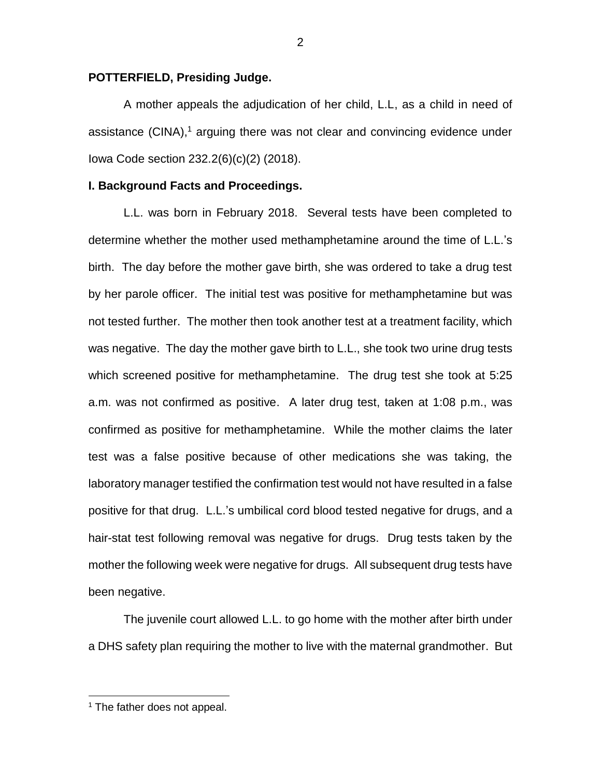## **POTTERFIELD, Presiding Judge.**

A mother appeals the adjudication of her child, L.L, as a child in need of assistance (CINA), <sup>1</sup> arguing there was not clear and convincing evidence under Iowa Code section 232.2(6)(c)(2) (2018).

### **I. Background Facts and Proceedings.**

L.L. was born in February 2018. Several tests have been completed to determine whether the mother used methamphetamine around the time of L.L.'s birth. The day before the mother gave birth, she was ordered to take a drug test by her parole officer. The initial test was positive for methamphetamine but was not tested further. The mother then took another test at a treatment facility, which was negative. The day the mother gave birth to L.L., she took two urine drug tests which screened positive for methamphetamine. The drug test she took at 5:25 a.m. was not confirmed as positive. A later drug test, taken at 1:08 p.m., was confirmed as positive for methamphetamine. While the mother claims the later test was a false positive because of other medications she was taking, the laboratory manager testified the confirmation test would not have resulted in a false positive for that drug. L.L.'s umbilical cord blood tested negative for drugs, and a hair-stat test following removal was negative for drugs. Drug tests taken by the mother the following week were negative for drugs. All subsequent drug tests have been negative.

The juvenile court allowed L.L. to go home with the mother after birth under a DHS safety plan requiring the mother to live with the maternal grandmother. But

 $\overline{a}$ 

 $<sup>1</sup>$  The father does not appeal.</sup>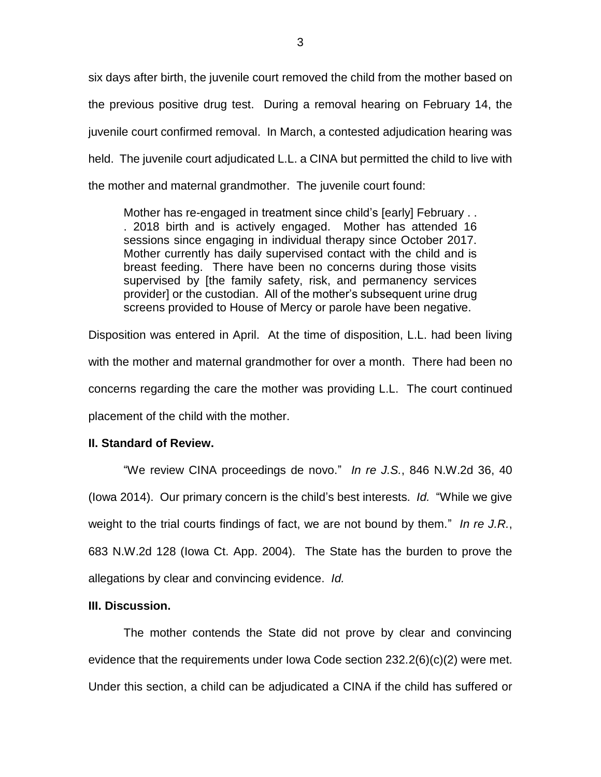six days after birth, the juvenile court removed the child from the mother based on the previous positive drug test. During a removal hearing on February 14, the juvenile court confirmed removal. In March, a contested adjudication hearing was held. The juvenile court adjudicated L.L. a CINA but permitted the child to live with the mother and maternal grandmother. The juvenile court found:

Mother has re-engaged in treatment since child's [early] February . . . 2018 birth and is actively engaged. Mother has attended 16 sessions since engaging in individual therapy since October 2017. Mother currently has daily supervised contact with the child and is breast feeding. There have been no concerns during those visits supervised by [the family safety, risk, and permanency services provider] or the custodian. All of the mother's subsequent urine drug screens provided to House of Mercy or parole have been negative.

Disposition was entered in April. At the time of disposition, L.L. had been living with the mother and maternal grandmother for over a month. There had been no concerns regarding the care the mother was providing L.L. The court continued placement of the child with the mother.

## **II. Standard of Review.**

"We review CINA proceedings de novo." *In re J.S.*, 846 N.W.2d 36, 40 (Iowa 2014). Our primary concern is the child's best interests. *Id.* "While we give weight to the trial courts findings of fact, we are not bound by them." *In re J.R.*, 683 N.W.2d 128 (Iowa Ct. App. 2004). The State has the burden to prove the allegations by clear and convincing evidence. *Id.*

## **III. Discussion.**

The mother contends the State did not prove by clear and convincing evidence that the requirements under Iowa Code section 232.2(6)(c)(2) were met. Under this section, a child can be adjudicated a CINA if the child has suffered or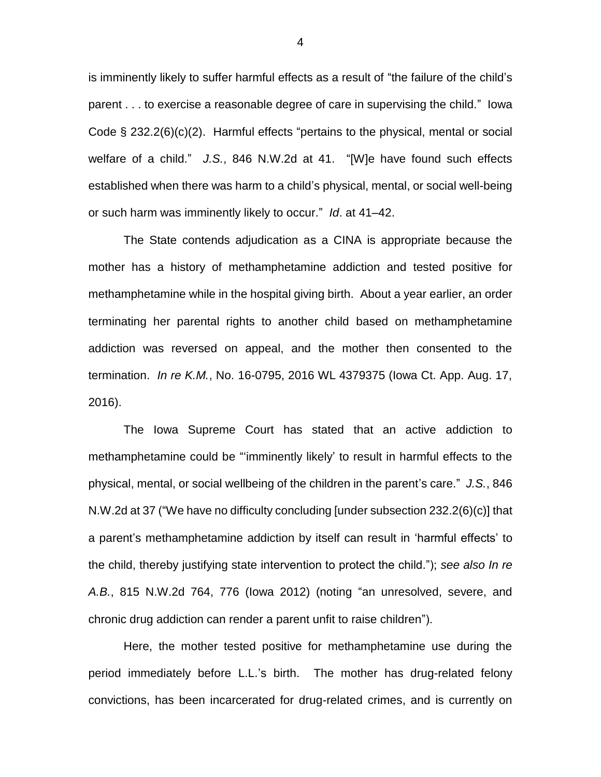is imminently likely to suffer harmful effects as a result of "the failure of the child's parent . . . to exercise a reasonable degree of care in supervising the child." Iowa Code § 232.2(6)(c)(2). Harmful effects "pertains to the physical, mental or social welfare of a child." *J.S.*, 846 N.W.2d at 41. "[W]e have found such effects established when there was harm to a child's physical, mental, or social well-being or such harm was imminently likely to occur." *Id*. at 41–42.

The State contends adjudication as a CINA is appropriate because the mother has a history of methamphetamine addiction and tested positive for methamphetamine while in the hospital giving birth. About a year earlier, an order terminating her parental rights to another child based on methamphetamine addiction was reversed on appeal, and the mother then consented to the termination. *In re K.M.*, No. 16-0795, 2016 WL 4379375 (Iowa Ct. App. Aug. 17, 2016).

The Iowa Supreme Court has stated that an active addiction to methamphetamine could be "'imminently likely' to result in harmful effects to the physical, mental, or social wellbeing of the children in the parent's care." *J.S.*, 846 N.W.2d at 37 ("We have no difficulty concluding [under subsection 232.2(6)(c)] that a parent's methamphetamine addiction by itself can result in 'harmful effects' to the child, thereby justifying state intervention to protect the child."); *see also In re A.B.*, 815 N.W.2d 764, 776 (Iowa 2012) (noting "an unresolved, severe, and chronic drug addiction can render a parent unfit to raise children").

Here, the mother tested positive for methamphetamine use during the period immediately before L.L.'s birth. The mother has drug-related felony convictions, has been incarcerated for drug-related crimes, and is currently on